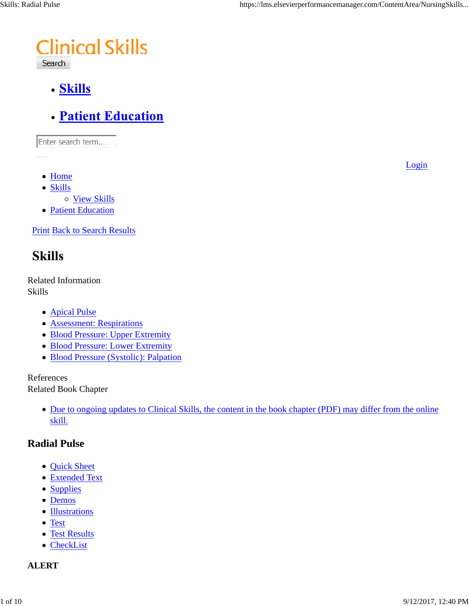# **Clinical Skills**

Search

- · Skills
- **Patient Education**

Enter search term...

• Home

Login

- Skills
	- o View Skills
- Patient Education

**Print Back to Search Results** 

# **Skills**

Related Information Skills

- Apical Pulse
- Assessment: Respirations
- Blood Pressure: Upper Extremity
- Blood Pressure: Lower Extremity
- Blood Pressure (Systolic): Palpation

References

Related Book Chapter

• Due to ongoing updates to Clinical Skills, the content in the book chapter (PDF) may differ from the online skill.

#### **Radial Pulse**

- Quick Sheet
- Extended Text
- Supplies
- Demos
- Illustrations
- Test
- Test Results
- CheckList

#### **ALERT**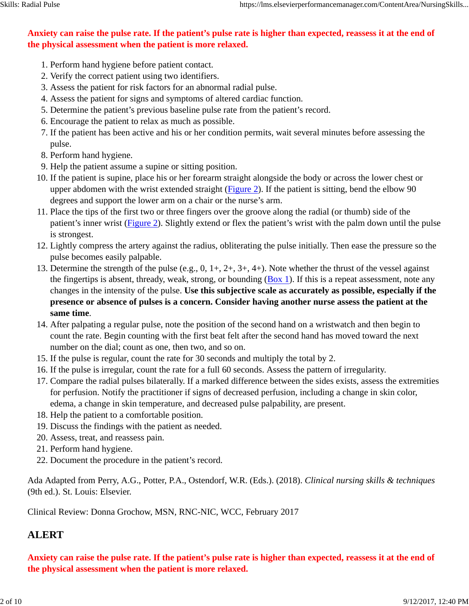#### **Anxiety can raise the pulse rate. If the patient's pulse rate is higher than expected, reassess it at the end of the physical assessment when the patient is more relaxed.**

- 1. Perform hand hygiene before patient contact.
- 2. Verify the correct patient using two identifiers.
- 3. Assess the patient for risk factors for an abnormal radial pulse.
- 4. Assess the patient for signs and symptoms of altered cardiac function.
- 5. Determine the patient's previous baseline pulse rate from the patient's record.
- 6. Encourage the patient to relax as much as possible.
- If the patient has been active and his or her condition permits, wait several minutes before assessing the 7. pulse.
- 8. Perform hand hygiene.
- 9. Help the patient assume a supine or sitting position.
- 10. If the patient is supine, place his or her forearm straight alongside the body or across the lower chest or upper abdomen with the wrist extended straight (Figure 2). If the patient is sitting, bend the elbow 90 degrees and support the lower arm on a chair or the nurse's arm.
- 11. Place the tips of the first two or three fingers over the groove along the radial (or thumb) side of the patient's inner wrist (Figure 2). Slightly extend or flex the patient's wrist with the palm down until the pulse is strongest.
- 12. Lightly compress the artery against the radius, obliterating the pulse initially. Then ease the pressure so the pulse becomes easily palpable.
- 13. Determine the strength of the pulse (e.g.,  $0, 1+, 2+, 3+, 4+$ ). Note whether the thrust of the vessel against the fingertips is absent, thready, weak, strong, or bounding  $(Box 1)$ . If this is a repeat assessment, note any changes in the intensity of the pulse. **Use this subjective scale as accurately as possible, especially if the presence or absence of pulses is a concern. Consider having another nurse assess the patient at the same time**.
- After palpating a regular pulse, note the position of the second hand on a wristwatch and then begin to 14. count the rate. Begin counting with the first beat felt after the second hand has moved toward the next number on the dial; count as one, then two, and so on.
- 15. If the pulse is regular, count the rate for 30 seconds and multiply the total by 2.
- 16. If the pulse is irregular, count the rate for a full 60 seconds. Assess the pattern of irregularity.
- 17. Compare the radial pulses bilaterally. If a marked difference between the sides exists, assess the extremities for perfusion. Notify the practitioner if signs of decreased perfusion, including a change in skin color, edema, a change in skin temperature, and decreased pulse palpability, are present.
- 18. Help the patient to a comfortable position.
- 19. Discuss the findings with the patient as needed.
- 20. Assess, treat, and reassess pain.
- 21. Perform hand hygiene.
- 22. Document the procedure in the patient's record.

Ada Adapted from Perry, A.G., Potter, P.A., Ostendorf, W.R. (Eds.). (2018). *Clinical nursing skills & techniques* (9th ed.). St. Louis: Elsevier.

Clinical Review: Donna Grochow, MSN, RNC-NIC, WCC, February 2017

#### **ALERT**

**Anxiety can raise the pulse rate. If the patient's pulse rate is higher than expected, reassess it at the end of the physical assessment when the patient is more relaxed.**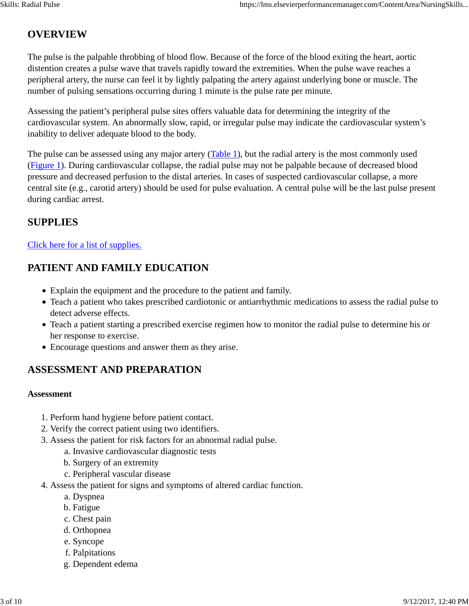# **OVERVIEW**

The pulse is the palpable throbbing of blood flow. Because of the force of the blood exiting the heart, aortic distention creates a pulse wave that travels rapidly toward the extremities. When the pulse wave reaches a peripheral artery, the nurse can feel it by lightly palpating the artery against underlying bone or muscle. The number of pulsing sensations occurring during 1 minute is the pulse rate per minute.

Assessing the patient's peripheral pulse sites offers valuable data for determining the integrity of the cardiovascular system. An abnormally slow, rapid, or irregular pulse may indicate the cardiovascular system's inability to deliver adequate blood to the body.

The pulse can be assessed using any major artery (Table 1), but the radial artery is the most commonly used (Figure 1). During cardiovascular collapse, the radial pulse may not be palpable because of decreased blood pressure and decreased perfusion to the distal arteries. In cases of suspected cardiovascular collapse, a more central site (e.g., carotid artery) should be used for pulse evaluation. A central pulse will be the last pulse present during cardiac arrest.

#### **SUPPLIES**

#### Click here for a list of supplies.

### **PATIENT AND FAMILY EDUCATION**

- Explain the equipment and the procedure to the patient and family.
- Teach a patient who takes prescribed cardiotonic or antiarrhythmic medications to assess the radial pulse to detect adverse effects.
- Teach a patient starting a prescribed exercise regimen how to monitor the radial pulse to determine his or her response to exercise.
- Encourage questions and answer them as they arise.

# **ASSESSMENT AND PREPARATION**

#### **Assessment**

- 1. Perform hand hygiene before patient contact.
- 2. Verify the correct patient using two identifiers.
- 3. Assess the patient for risk factors for an abnormal radial pulse.
	- a. Invasive cardiovascular diagnostic tests
	- b. Surgery of an extremity
	- c. Peripheral vascular disease
- 4. Assess the patient for signs and symptoms of altered cardiac function.
	- a. Dyspnea
	- b. Fatigue
	- c. Chest pain
	- d. Orthopnea
	- e. Syncope
	- f. Palpitations
	- g. Dependent edema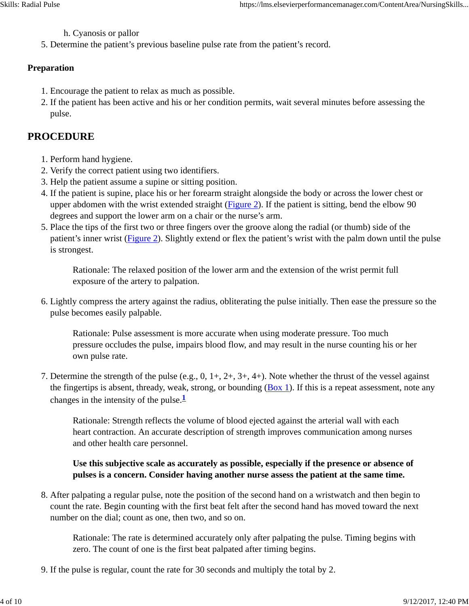h. Cyanosis or pallor

5. Determine the patient's previous baseline pulse rate from the patient's record.

#### **Preparation**

- 1. Encourage the patient to relax as much as possible.
- 2. If the patient has been active and his or her condition permits, wait several minutes before assessing the pulse.

#### **PROCEDURE**

- 1. Perform hand hygiene.
- 2. Verify the correct patient using two identifiers.
- 3. Help the patient assume a supine or sitting position.
- 4. If the patient is supine, place his or her forearm straight alongside the body or across the lower chest or upper abdomen with the wrist extended straight (Figure 2). If the patient is sitting, bend the elbow 90 degrees and support the lower arm on a chair or the nurse's arm.
- 5. Place the tips of the first two or three fingers over the groove along the radial (or thumb) side of the patient's inner wrist (Figure 2). Slightly extend or flex the patient's wrist with the palm down until the pulse is strongest.

Rationale: The relaxed position of the lower arm and the extension of the wrist permit full exposure of the artery to palpation.

6. Lightly compress the artery against the radius, obliterating the pulse initially. Then ease the pressure so the pulse becomes easily palpable.

Rationale: Pulse assessment is more accurate when using moderate pressure. Too much pressure occludes the pulse, impairs blood flow, and may result in the nurse counting his or her own pulse rate.

7. Determine the strength of the pulse (e.g.,  $0, 1+, 2+, 3+, 4+$ ). Note whether the thrust of the vessel against the fingertips is absent, thready, weak, strong, or bounding (Box 1). If this is a repeat assessment, note any changes in the intensity of the pulse. $\frac{1}{2}$ 

Rationale: Strength reflects the volume of blood ejected against the arterial wall with each heart contraction. An accurate description of strength improves communication among nurses and other health care personnel.

#### **Use this subjective scale as accurately as possible, especially if the presence or absence of pulses is a concern. Consider having another nurse assess the patient at the same time.**

8. After palpating a regular pulse, note the position of the second hand on a wristwatch and then begin to count the rate. Begin counting with the first beat felt after the second hand has moved toward the next number on the dial; count as one, then two, and so on.

Rationale: The rate is determined accurately only after palpating the pulse. Timing begins with zero. The count of one is the first beat palpated after timing begins.

9. If the pulse is regular, count the rate for 30 seconds and multiply the total by 2.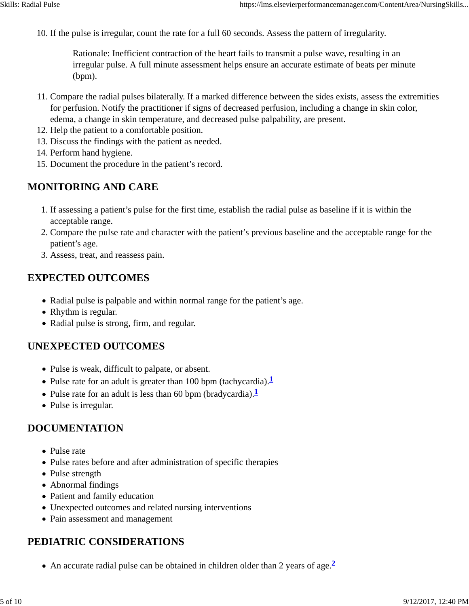10. If the pulse is irregular, count the rate for a full 60 seconds. Assess the pattern of irregularity.

Rationale: Inefficient contraction of the heart fails to transmit a pulse wave, resulting in an irregular pulse. A full minute assessment helps ensure an accurate estimate of beats per minute (bpm).

- 11. Compare the radial pulses bilaterally. If a marked difference between the sides exists, assess the extremities for perfusion. Notify the practitioner if signs of decreased perfusion, including a change in skin color, edema, a change in skin temperature, and decreased pulse palpability, are present.
- 12. Help the patient to a comfortable position.
- 13. Discuss the findings with the patient as needed.
- 14. Perform hand hygiene.
- 15. Document the procedure in the patient's record.

# **MONITORING AND CARE**

- 1. If assessing a patient's pulse for the first time, establish the radial pulse as baseline if it is within the acceptable range.
- 2. Compare the pulse rate and character with the patient's previous baseline and the acceptable range for the patient's age.
- 3. Assess, treat, and reassess pain.

### **EXPECTED OUTCOMES**

- Radial pulse is palpable and within normal range for the patient's age.
- Rhythm is regular.
- Radial pulse is strong, firm, and regular.

#### **UNEXPECTED OUTCOMES**

- Pulse is weak, difficult to palpate, or absent.
- Pulse rate for an adult is greater than 100 bpm (tachycardia).
- Pulse rate for an adult is less than 60 bpm (bradycardia).<sup>1</sup>
- Pulse is irregular.

#### **DOCUMENTATION**

- Pulse rate
- Pulse rates before and after administration of specific therapies
- Pulse strength
- Abnormal findings
- Patient and family education
- Unexpected outcomes and related nursing interventions
- Pain assessment and management

#### **PEDIATRIC CONSIDERATIONS**

An accurate radial pulse can be obtained in children older than 2 years of age.**<sup>2</sup>**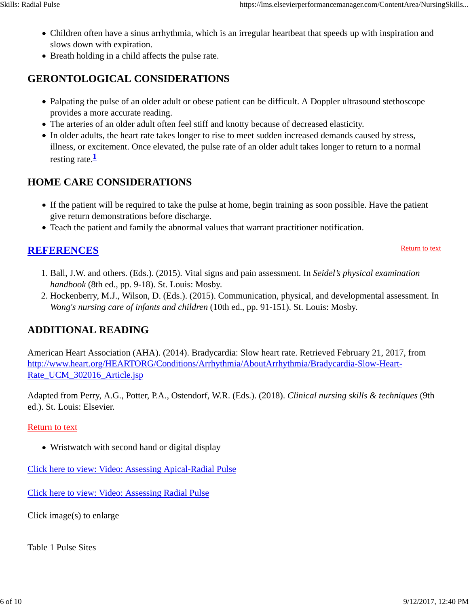- Children often have a sinus arrhythmia, which is an irregular heartbeat that speeds up with inspiration and slows down with expiration.
- Breath holding in a child affects the pulse rate.

# **GERONTOLOGICAL CONSIDERATIONS**

- Palpating the pulse of an older adult or obese patient can be difficult. A Doppler ultrasound stethoscope provides a more accurate reading.
- The arteries of an older adult often feel stiff and knotty because of decreased elasticity.
- In older adults, the heart rate takes longer to rise to meet sudden increased demands caused by stress, illness, or excitement. Once elevated, the pulse rate of an older adult takes longer to return to a normal resting rate. $\frac{1}{2}$

# **HOME CARE CONSIDERATIONS**

- If the patient will be required to take the pulse at home, begin training as soon possible. Have the patient give return demonstrations before discharge.
- Teach the patient and family the abnormal values that warrant practitioner notification.

# **REFERENCES**

Return to text

- 1. Ball, J.W. and others. (Eds.). (2015). Vital signs and pain assessment. In *Seidel's physical examination handbook* (8th ed., pp. 9-18). St. Louis: Mosby.
- 2. Hockenberry, M.J., Wilson, D. (Eds.). (2015). Communication, physical, and developmental assessment. In *Wong's nursing care of infants and children* (10th ed., pp. 91-151). St. Louis: Mosby.

# **ADDITIONAL READING**

American Heart Association (AHA). (2014). Bradycardia: Slow heart rate. Retrieved February 21, 2017, from http://www.heart.org/HEARTORG/Conditions/Arrhythmia/AboutArrhythmia/Bradycardia-Slow-Heart-Rate\_UCM\_302016\_Article.jsp

Adapted from Perry, A.G., Potter, P.A., Ostendorf, W.R. (Eds.). (2018). *Clinical nursing skills & techniques* (9th ed.). St. Louis: Elsevier.

#### Return to text

• Wristwatch with second hand or digital display

Click here to view: Video: Assessing Apical-Radial Pulse

Click here to view: Video: Assessing Radial Pulse

Click image(s) to enlarge

Table 1 Pulse Sites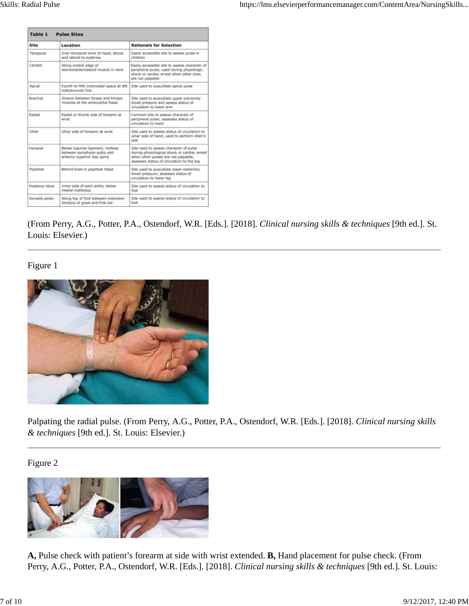| Table 1<br><b>Pulse Sites</b> |                                                                                                 |                                                                                                                                                                            |
|-------------------------------|-------------------------------------------------------------------------------------------------|----------------------------------------------------------------------------------------------------------------------------------------------------------------------------|
| Site                          | Location                                                                                        | <b>Rationale for Selection</b>                                                                                                                                             |
| Temporal                      | Over temporal bone of head, above<br>and lateral to eyebrow                                     | Easily accessible site to assess pulse in<br>children                                                                                                                      |
| Carotid                       | Along medial edge of<br>sternocleidomastoid muscle in neck                                      | Easily accessible site to assess character of<br>peripheral pulse; used during physiologic<br>shock or cardiac arrest when other sites<br>are not palpable                 |
| Apical                        | Fourth to fifth intercostal space at left<br>midclavicular line                                 | Site used to auscultate apical pulse                                                                                                                                       |
| Brachial                      | Groove between biceps and triceps<br>muscles at the antecubital fossa                           | Site used to auscultate upper-extremity<br>blood pressure and assess status of<br>circulation to lower arm                                                                 |
| Radial                        | Radial or thumb side of forearm at<br>wrist                                                     | Common site to assess character of<br>peripheral pulse; assesses status of<br>circulation to hand                                                                          |
| Ulnar                         | Ulnar side of forearm at wrist                                                                  | Site used to assess status of circulation to<br>ulnar side of hand; used to perform Allen's<br>test                                                                        |
| Femoral                       | Below inquinal ligament, midway<br>between symphysis pubis and<br>anterior superior iliac spine | Site used to assess character of pulse<br>during physiological shock or cardiac arrest<br>when other pulses are not palpable;<br>assesses status of circulation to the leg |
| Popliteal                     | Behind knee in popliteal fossa                                                                  | Site used to auscultate lower-extremity<br>blood pressure; assesses status of<br>circulation to lower leg                                                                  |
| Posterior tibial              | Inner side of each ankle, below<br>medial malleolus.                                            | Site used to assess status of circulation to<br>foot                                                                                                                       |
| Dorsalis pedis                | Along top of foot between extension<br>tendons of great and first toe                           | Site used to assess status of circulation to<br>foot                                                                                                                       |

(From Perry, A.G., Potter, P.A., Ostendorf, W.R. [Eds.]. [2018]. *Clinical nursing skills & techniques* [9th ed.]. St. Louis: Elsevier.)

#### Figure 1



Palpating the radial pulse. (From Perry, A.G., Potter, P.A., Ostendorf, W.R. [Eds.]. [2018]. *Clinical nursing skills & techniques* [9th ed.]. St. Louis: Elsevier.)

Figure 2



**A,** Pulse check with patient's forearm at side with wrist extended. **B,** Hand placement for pulse check. (From Perry, A.G., Potter, P.A., Ostendorf, W.R. [Eds.]. [2018]. *Clinical nursing skills & techniques* [9th ed.]. St. Louis: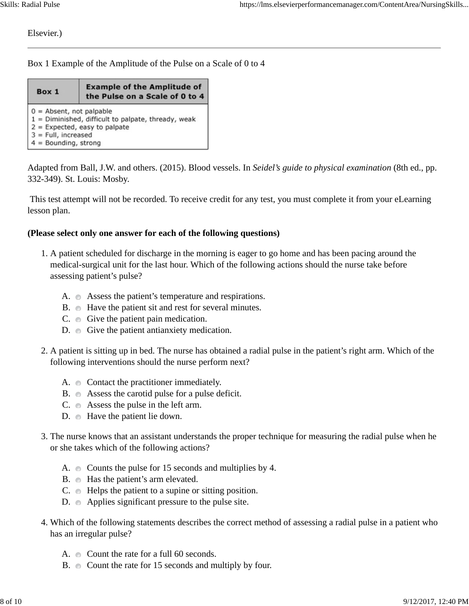Elsevier.)

Box 1 Example of the Amplitude of the Pulse on a Scale of 0 to 4

| Box 1                                                                                                                                                                   | <b>Example of the Amplitude of</b><br>the Pulse on a Scale of 0 to 4 |  |  |
|-------------------------------------------------------------------------------------------------------------------------------------------------------------------------|----------------------------------------------------------------------|--|--|
| $0 =$ Absent, not palpable<br>1 = Diminished, difficult to palpate, thready, weak<br>$2 =$ Expected, easy to palpate<br>$3$ = Full, increased<br>$4 =$ Bounding, strong |                                                                      |  |  |

Adapted from Ball, J.W. and others. (2015). Blood vessels. In *Seidel's guide to physical examination* (8th ed., pp. 332-349). St. Louis: Mosby.

 This test attempt will not be recorded. To receive credit for any test, you must complete it from your eLearning lesson plan.

#### **(Please select only one answer for each of the following questions)**

- 1. A patient scheduled for discharge in the morning is eager to go home and has been pacing around the medical-surgical unit for the last hour. Which of the following actions should the nurse take before assessing patient's pulse?
	- A. Assess the patient's temperature and respirations.
	- B. Have the patient sit and rest for several minutes.
	- $C. \quad \bullet \quad$  Give the patient pain medication.
	- D. Give the patient antianxiety medication.
- 2. A patient is sitting up in bed. The nurse has obtained a radial pulse in the patient's right arm. Which of the following interventions should the nurse perform next?
	- A.  $\circ$  Contact the practitioner immediately.
	- B. Assess the carotid pulse for a pulse deficit.
	- $C. \quad \bullet \quad$  Assess the pulse in the left arm.
	- D. Have the patient lie down.
- 3. The nurse knows that an assistant understands the proper technique for measuring the radial pulse when he or she takes which of the following actions?
	- A.  $\bullet$  Counts the pulse for 15 seconds and multiplies by 4.
	- B. Has the patient's arm elevated.
	- $C. \quad \bullet$  Helps the patient to a supine or sitting position.
	- D. Applies significant pressure to the pulse site.
- Which of the following statements describes the correct method of assessing a radial pulse in a patient who 4. has an irregular pulse?
	- A. Count the rate for a full 60 seconds.
	- B. Count the rate for 15 seconds and multiply by four.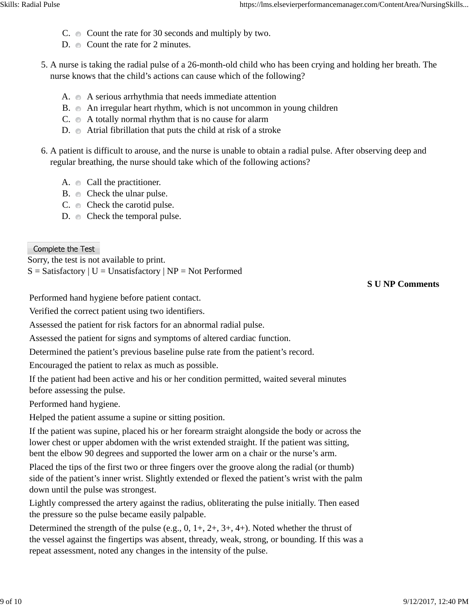- $C. \quad \bullet \quad$  Count the rate for 30 seconds and multiply by two.
- D. Count the rate for 2 minutes.
- 5. A nurse is taking the radial pulse of a 26-month-old child who has been crying and holding her breath. The nurse knows that the child's actions can cause which of the following?
	- A.  $\circ$  A serious arrhythmia that needs immediate attention
	- B. An irregular heart rhythm, which is not uncommon in young children
	- $C. \bullet A$  totally normal rhythm that is no cause for alarm
	- D.  $\bullet$  Atrial fibrillation that puts the child at risk of a stroke
- 6. A patient is difficult to arouse, and the nurse is unable to obtain a radial pulse. After observing deep and regular breathing, the nurse should take which of the following actions?
	- A.  $\circ$  Call the practitioner.
	- B.  $\bullet$  Check the ulnar pulse.
	- $C. \quad \bullet \quad$  Check the carotid pulse.
	- D.  $\bullet$  Check the temporal pulse.

Complete the Test

Sorry, the test is not available to print.

 $S = S$ atisfactory | U = Unsatisfactory | NP = Not Performed

**S U NP Comments**

Performed hand hygiene before patient contact.

Verified the correct patient using two identifiers.

Assessed the patient for risk factors for an abnormal radial pulse.

Assessed the patient for signs and symptoms of altered cardiac function.

Determined the patient's previous baseline pulse rate from the patient's record.

Encouraged the patient to relax as much as possible.

If the patient had been active and his or her condition permitted, waited several minutes before assessing the pulse.

Performed hand hygiene.

Helped the patient assume a supine or sitting position.

If the patient was supine, placed his or her forearm straight alongside the body or across the lower chest or upper abdomen with the wrist extended straight. If the patient was sitting, bent the elbow 90 degrees and supported the lower arm on a chair or the nurse's arm.

Placed the tips of the first two or three fingers over the groove along the radial (or thumb) side of the patient's inner wrist. Slightly extended or flexed the patient's wrist with the palm down until the pulse was strongest.

Lightly compressed the artery against the radius, obliterating the pulse initially. Then eased the pressure so the pulse became easily palpable.

Determined the strength of the pulse (e.g.,  $0, 1+, 2+, 3+, 4+$ ). Noted whether the thrust of the vessel against the fingertips was absent, thready, weak, strong, or bounding. If this was a repeat assessment, noted any changes in the intensity of the pulse.